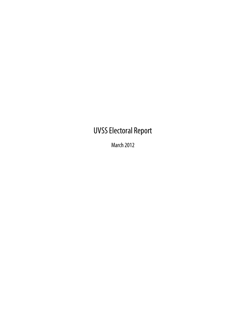# UVSS Electoral Report

March 2012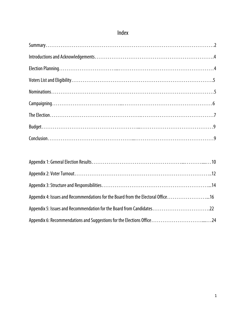| Appendix 4: Issues and Recommendations for the Board from the Electoral Office16 |  |
|----------------------------------------------------------------------------------|--|
| Appendix 5: Issues and Recommendation for the Board from Candidates22            |  |
|                                                                                  |  |

## Index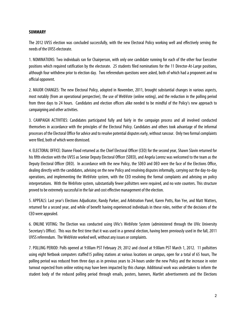#### **SUMMARY**

The 2012 UVSS election was concluded successfully, with the new Electoral Policy working well and effectively serving the needs of the UVSS electorate.

1. NOMINATIONS: Two individuals ran for Chairperson, with only one candidate running for each of the other four Executive positions which required ratification by the electorate. 25 students filed nominations for the 11 Director-At-Large positions, although four withdrew prior to election day. Two referendum questions were asked, both of which had a proponent and no official opponent.

2. MAJOR CHANGES: The new Electoral Policy, adopted in November, 2011, brought substantial changes in various aspects, most notably (from an operational perspective), the use of WebVote (online voting), and the reduction in the polling period from three days to 24 hours. Candidates and election officers alike needed to be mindful of the Policy's new approach to campaigning and other activities.

3. CAMPAIGN ACTIVITIES: Candidates participated fully and fairly in the campaign process and all involved conducted themselves in accordance with the principles of the Electoral Policy. Candidates and others took advantage of the informal processes of the Electoral Office for advice and to resolve potential disputes early, without rancour. Only two formal complaints were filed, both of which were dismissed.

4. ELECTORAL OFFICE: Dianne Flood returned as the Chief Electoral Officer (CEO) for the second year, Shawn Slavin returned for his fifth election with the UVSS as Senior Deputy Electoral Officer (SDEO), and Angela Lorenz was welcomed to the team as the Deputy Electoral Officer (DEO). In accordance with the new Policy, the SDEO and DEO were the face of the Elections Office, dealing directly with the candidates, advising on the new Policy and resolving disputes informally, carrying out the day-to-day operations, and implementing the WebVote system, with the CEO resolving the formal complaints and advising on policy interpretations. With the WebVote system, substantially fewer pollsitters were required, and no vote counters. This structure proved to be extremely successful in the fair and cost effective management of the election.

5. APPEALS: Last year's Elections Adjudicator, Randy Parker, and Arbitration Panel, Karen Potts, Ron Yee, and Matt Watters, returned for a second year, and while of benefit having experienced individuals in these roles, neither of the decisions of the CEO were appealed.

6. ONLINE VOTING: The Election was conducted using UVic's WebVote System (administered through the UVic University Secretary's Office). This was the first time that it was used in a general election, having been previously used in the fall, 2011 UVSS referendum. The WebVote worked well, without any issues or complaints.

7. POLLING PERIOD: Polls opened at 9:00am PST February 29, 2012 and closed at 9:00am PST March 1, 2012. 11 pollsitters using eight Netbook computers staffed15 polling stations at various locations on campus, open for a total of 65 hours, The polling period was reduced from three days as in previous years to 24-hours under the new Policy and the increase in voter turnout expected from online voting may have been impacted by this change. Additional work was undertaken to inform the student body of the reduced polling period through emails, posters, banners, Martlet advertisements and the Elections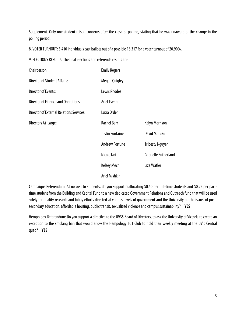Supplement. Only one student raised concerns after the close of polling, stating that he was unaware of the change in the polling period.

8. VOTER TURNOUT: 3,410 individuals cast ballots out of a possible 16,317 for a voter turnout of 20.90%.

9. ELECTIONS RESULTS: The final elections and referenda results are:

| Chairperson:                                    | <b>Emily Rogers</b>    |                        |
|-------------------------------------------------|------------------------|------------------------|
| <b>Director of Student Affairs:</b>             | <b>Megan Quigley</b>   |                        |
| <b>Director of Events:</b>                      | Lewis Rhodes           |                        |
| <b>Director of Finance and Operations:</b>      | <b>Ariel Tseng</b>     |                        |
| <b>Director of External Relations Services:</b> | Lucia Order            |                        |
| Directors At-Large:                             | <b>Rachel Barr</b>     | Kalyn Morrison         |
|                                                 | <b>Justin Fontaine</b> | David Mutuku           |
|                                                 | <b>Andrew Fortune</b>  | <b>Tribesty Nguyen</b> |
|                                                 | Nicole laci            | Gabrielle Sutherland   |
|                                                 | Kelsey Mech            | Liza Watler            |
|                                                 | <b>Ariel Mishkin</b>   |                        |

Campaigns Referendum: At no cost to students, do you support reallocating \$0.50 per full-time students and \$0.25 per parttime student from the Building and Capital Fund to a new dedicated Government Relations and Outreach fund that will be used solely for quality research and lobby efforts directed at various levels of government and the University on the issues of postsecondary education, affordable housing, public transit, sexualized violence and campus sustainability? **YES**

Hempology Referendum: Do you support a directive to the UVSS Board of Directors, to ask the University of Victoria to create an exception to the smoking ban that would allow the Hempology 101 Club to hold their weekly meeting at the UVic Central quad? **YES**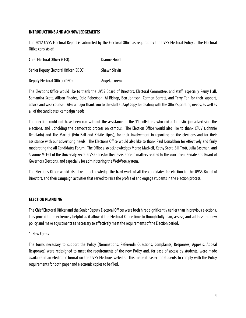### **INTRODUCTIONS AND ACKNOWLEDGEMENTS**

The 2012 UVSS Electoral Report is submitted by the Electoral Office as required by the UVSS Electoral Policy . The Electoral Office consists of:

| Chief Electoral Officer (CEO):          | <b>Dianne Flood</b> |
|-----------------------------------------|---------------------|
| Senior Deputy Electoral Officer (SDEO): | <b>Shawn Slavin</b> |
| Deputy Electoral Officer (DEO):         | Angela Lorenz       |

The Elections Office would like to thank the UVSS Board of Directors, Electoral Committee, and staff, especially Remy Hall, Samantha Scott, Allison Rhodes, Dale Robertson, Al Bishop, Ben Johnson, Carmen Barrett, and Terry Tan for their support, advice and wise counsel. Also a major thank you to the staff at Zap! Copy for dealing with the Office's printing needs, as well as all of the candidates' campaign needs.

The election could not have been run without the assistance of the 11 pollsitters who did a fantastic job advertising the elections, and upholding the democratic process on campus. The Election Office would also like to thank CFUV (Johnnie Regalado) and The Martlet (Erin Ball and Kristie Sipes), for their involvement in reporting on the elections and for their assistance with our advertising needs. The Elections Office would also like to thank Paul Donaldson for effectively and fairly moderating the All Candidates Forum. The Office also acknowledges Morag MacNeil, Kathy Scott, Bill Trott, Julia Eastman, and Sivonne McFall of the University Secretary's Office,for their assistance in matters related to the concurrent Senate and Board of Governors Elections, and especially for administering the WebVote system.

The Elections Office would also like to acknowledge the hard work of all the candidates for election to the UVSS Board of Directors, and their campaign activities that served to raise the profile of and engage students in the election process.

### **ELECTION PLANNING**

The Chief Electoral Officer and the Senior Deputy Electoral Officer were both hired significantly earlier than in previous elections. This proved to be extremely helpful as it allowed the Electoral Office time to thoughtfully plan, assess, and address the new policy and make adjustments as necessary to effectively meet the requirements of the Election period.

#### 1. New Forms

The forms necessary to support the Policy (Nominations, Referenda Questions, Complaints, Responses, Appeals, Appeal Responses) were redesigned to meet the requirements of the new Policy and, for ease of access by students, were made available in an electronic format on the UVSS Elections website. This made it easier for students to comply with the Policy requirements for both paper and electronic copies to be filed.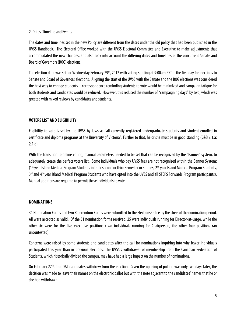### 2. Dates, Timeline and Events

The dates and timelines set in the new Policy are different from the dates under the old policy that had been published in the UVSS Handbook. The Electoral Office worked with the UVSS Electoral Committee and Executive to make adjustments that accommodated the new changes, and also took into account the differing dates and timelines of the concurrent Senate and Board of Governors (BOG) elections.

The election date was set for Wednesday February 29<sup>th</sup>, 2012 with voting starting at 9:00am PST – the first day for elections to Senate and Board of Governors elections. Aligning the start of the UVSS with the Senate and the BOG elections was considered the best way to engage students – correspondence reminding students to vote would be minimized and campaign fatigue for both students and candidates would be reduced. However, this reduced the number of "campaigning days" by two, which was greeted with mixed reviews by candidates and students.

### **VOTERS LIST AND ELIGIBILITY**

Eligibility to vote is set by the UVSS by-laws as "all currently registered undergraduate students and student enrolled in certificate and diploma programs at the University of Victoria". Further to that, he or she must be in good standing (C&B 2.1.a; 2.1.d).

With the transition to online voting, manual parameters needed to be set that can be recognized by the "Banner" system, to adequately create the perfect voters list. Some individuals who pay UVSS fees are not recognized within the Banner System:  $(1<sup>st</sup>$  year Island Medical Program Students in their second or third semester or studies,  $2<sup>nd</sup>$  year Island Medical Program Students, 3<sup>rd</sup> and 4<sup>th</sup> year Island Medical Program Students who have opted into the UVSS and all STEPS Forwards Program participants). Manual additions are required to permit these individuals to vote.

### **NOMINATIONS**

31 Nomination Forms and two Referendum Forms were submitted to the Elections Office by the close of the nomination period. All were accepted as valid. Of the 31 nomination forms received, 25 were individuals running for Director-at-Large, while the other six were for the five executive positions (two individuals running for Chairperson, the other four positions ran uncontested).

Concerns were raised by some students and candidates after the call for nominations inquiring into why fewer individuals participated this year than in previous elections. The UVSS's withdrawal of membership from the Canadian Federation of Students, which historically divided the campus, may have had a large impact on the number of nominations.

On February 27<sup>th</sup>, four DAL candidates withdrew from the election. Given the opening of polling was only two days later, the decision was made to leave their names on the electronic ballot but with the note adjacent to the candidates' names that he or she had withdrawn.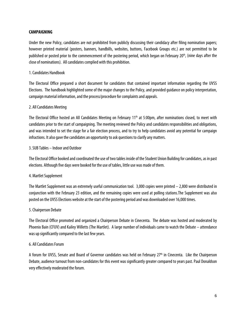### **CAMPAIGNING**

Under the new Policy, candidates are not prohibited from publicly discussing their candidacy after filing nomination papers; however printed material (posters, banners, handbills, websites, buttons, Facebook Groups etc.) are not permitted to be published or posted prior to the commencement of the postering period, which began on February 20<sup>th</sup>, (nine days after the close of nominations). All candidates complied with this prohibition.

### 1. Candidates Handbook

The Electoral Office prepared a short document for candidates that contained important information regarding the UVSS Elections. The handbook highlighted some of the major changes to the Policy, and provided guidance on policy interpretation, campaign material information, and the process/procedure for complaints and appeals.

### 2. All Candidates Meeting

The Electoral Office hosted an All Candidates Meeting on February  $11<sup>th</sup>$  at 5:00pm, after nominations closed, to meet with candidates prior to the start of campaigning. The meeting reviewed the Policy and candidates responsibilities and obligations, and was intended to set the stage for a fair election process, and to try to help candidates avoid any potential for campaign infractions. It also gave the candidates an opportunity to ask questions to clarify any matters.

### 3. SUB Tables – Indoor and Outdoor

The Electoral Office booked and coordinated the use of two tables inside of the Student Union Building for candidates, as in past elections. Although five days were booked for the use of tables, little use was made of them.

### 4. Martlet Supplement

The Martlet Supplement was an extremely useful communication tool.  $3,000$  copies were printed  $-2,800$  were distributed in conjunction with the February 23 edition, and the remaining copies were used at polling stations.The Supplement was also posted on the UVSS Elections website at the start of the postering period and was downloaded over 16,000 times.

### 5. Chairperson Debate

The Electoral Office promoted and organized a Chairperson Debate in Cinecenta. The debate was hosted and moderated by Phoenix Bain (CFUV) and Kailey Willetts (The Martlet). A large number of individuals came to watch the Debate – attendance was up significantly compared to the last few years.

### 6. All Candidates Forum

A forum for UVSS, Senate and Board of Governor candidates was held on February 27<sup>th</sup> in Cinecenta. Like the Chairperson Debate, audience turnout from non-candidates for this event was significantly greater compared to years past. Paul Donaldson very effectively moderated the forum.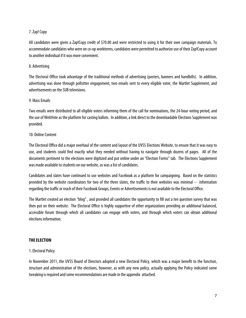### 7. Zap! Copy

All candidates were given a Zap!Copy credit of \$70.00 and were restricted to using it for their own campaign materials. To accommodate candidates who were on co-op workterms, candidates were permitted to authorize use of their Zap!Copy account to another individual if it was more convenient.

### 8. Advertising

The Electoral Office took advantage of the traditional methods of advertising (posters, banners and handbills). In addition, advertising was done through pollsitter engagement, two emails sent to every eligible voter, the Martlet Supplement, and advertisements on the SUB televisions.

#### 9. Mass Emails

Two emails were distributed to all eligible voters informing them of the call for nominations, the 24-hour voting period, and the use of WebVote as the platform for casting ballots. In addition, a link direct to the downloadable Elections Supplement was provided.

#### 10. Online Content

The Electoral Office did a major overhaul of the content and layout of the UVSS Elections Website, to ensure that it was easy to use, and students could find exactly what they needed without having to navigate through dozens of pages. All of the documents pertinent to the elections were digitized and put online under an "Election Forms" tab. The Elections Supplement was made available to students on our website, as was a list of candidates.

Candidates and slates have continued to use websites and Facebook as a platform for campaigning. Based on the statistics provided by the website coordinators for two of the three slates, the traffic to their websites was minimal – information regarding the traffic or reach of their Facebook Groups, Events or Advertisements is not available to the Electoral Office.

The Martlet created an election "blog" , and provided all candidates the opportunity to fill out a ten question survey that was then put on their website. The Electoral Office is highly supportive of other organizations providing an additional balanced, accessible forum through which all candidates can engage with voters, and through which voters can obtain additional elections information.

### **THE ELECTION**

### 1. Electoral Policy

In November 2011, the UVSS Board of Directors adopted a new Electoral Policy, which was a major benefit to the function, structure and administration of the elections, however, as with any new policy, actually applying the Policy indicated some tweaking is required and some recommendations are made in the appendix attached.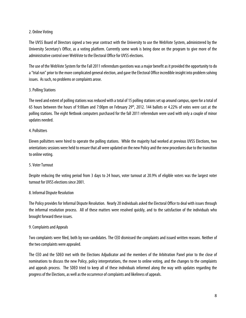### 2. Online Voting

The UVSS Board of Directors signed a two year contract with the University to use the WebVote System, administered by the University Secretary's Office, as a voting platform. Currently some work is being done on the program to give more of the administrative control over WebVote to the Electoral Office for UVSS elections.

The use of the WebVote System for the Fall 2011 referendum questions was a major benefit as it provided the opportunity to do a "trial run" prior to the more complicated general election, and gave the Electoral Office incredible insight into problem solving issues. As such, no problems or complaints arose.

### 3. Polling Stations

The need and extent of polling stations was reduced with a total of 15 polling stations set up around campus, open for a total of 65 hours between the hours of 9:00am and 7:00pm on February 29<sup>th</sup>, 2012. 144 ballots or 4.22% of votes were cast at the polling stations. The eight Netbook computers purchased for the fall 2011 referendum were used with only a couple of minor updates needed.

### 4. Pollsitters

Eleven pollsitters were hired to operate the polling stations. While the majority had worked at previous UVSS Elections, two orientations sessions were held to ensure that all were updated on the new Policy and the new procedures due to the transition to online voting.

### 5. Voter Turnout

Despite reducing the voting period from 3 days to 24 hours, voter turnout at 20.9% of eligible voters was the largest voter turnout for UVSS elections since 2001.

### 8. Informal Dispute Resolution

The Policy provides for Informal Dispute Resolution. Nearly 20 individuals asked the Electoral Office to deal with issues through the informal resolution process. All of these matters were resolved quickly, and to the satisfaction of the individuals who brought forward these issues.

### 9. Complaints and Appeals

Two complaints were filed, both by non-candidates. The CEO dismissed the complaints and issued written reasons. Neither of the two complaints were appealed.

The CEO and the SDEO met with the Elections Adjudicator and the members of the Arbitration Panel prior to the close of nominations to discuss the new Policy, policy interpretations, the move to online voting, and the changes to the complaints and appeals process. The SDEO tried to keep all of these individuals informed along the way with updates regarding the progress of the Elections, as well as the occurrence of complaints and likeliness of appeals.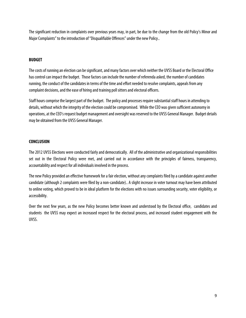The significant reduction in complaints over previous years may, in part, be due to the change from the old Policy's Minor and Major Complaints" to the introduction of "Disqualifiable Offences" under the new Policy..

### **BUDGET**

The costs of running an election can be significant, and many factors over which neither the UVSS Board or the Electoral Office has control can impact the budget. Those factors can include the number of referenda asked, the number of candidates running, the conduct of the candidates in terms of the time and effort needed to resolve complaints, appeals from any complaint decisions, and the ease of hiring and training poll sitters and electoral officers.

Staff hours comprise the largest part of the budget. The policy and processes require substantial staff hours in attending to details, without which the integrity of the election could be compromised. While the CEO was given sufficient autonomy in operations, at the CEO's request budget management and oversight was reserved to the UVSS General Manager. Budget details may be obtained from the UVSS General Manager.

### **CONCLUSION**

The 2012 UVSS Elections were conducted fairly and democratically. All of the administrative and organizational responsibilities set out in the Electoral Policy were met, and carried out in accordance with the principles of fairness, transparency, accountability and respect for all individuals involved in the process.

The new Policy provided an effective framework for a fair election, without any complaints filed by a candidate against another candidate (although 2 complaints were filed by a non-candidate).. A slight increase in voter turnout may have been attributed to online voting, which proved to be in ideal platform for the elections with no issues surrounding security, voter eligibility, or accessibility.

Over the next few years, as the new Policy becomes better known and understood by the Electoral office, candidates and students the UVSS may expect an increased respect for the electoral process, and increased student engagement with the UVSS.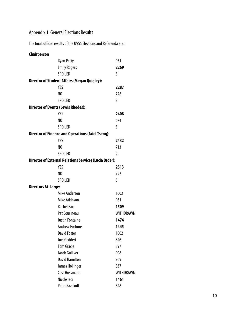## Appendix 1: General Elections Results

The final, official results of the UVSS Elections and Referenda are:

| Chairperson                |                                                               |                  |
|----------------------------|---------------------------------------------------------------|------------------|
|                            | <b>Ryan Petty</b>                                             | 951              |
|                            | <b>Emily Rogers</b>                                           | 2269             |
|                            | <b>SPOILED</b>                                                | 5                |
|                            | <b>Director of Student Affairs (Megan Quigley):</b>           |                  |
|                            | <b>YES</b>                                                    | 2287             |
|                            | N <sub>0</sub>                                                | 726              |
|                            | <b>SPOILED</b>                                                | 3                |
|                            | <b>Director of Events (Lewis Rhodes):</b>                     |                  |
|                            | <b>YES</b>                                                    | 2408             |
|                            | N <sub>0</sub>                                                | 674              |
|                            | <b>SPOILED</b>                                                | 5                |
|                            | <b>Director of Finance and Operations (Ariel Tseng):</b>      |                  |
|                            | <b>YES</b>                                                    | 2432             |
|                            | N <sub>0</sub>                                                | 713              |
|                            | <b>SPOILED</b>                                                | 2                |
|                            | <b>Director of External Relations Services (Lucia Order):</b> |                  |
|                            | <b>YES</b>                                                    | 2313             |
|                            | N <sub>0</sub>                                                | 792              |
|                            | <b>SPOILED</b>                                                | 5                |
| <b>Directors At-Large:</b> |                                                               |                  |
|                            | <b>Mike Anderson</b>                                          | 1002             |
|                            | Mike Atkinson                                                 | 961              |
|                            | <b>Rachel Barr</b>                                            | 1509             |
|                            | <b>Pat Cousineau</b>                                          | WITHDRAWN        |
|                            | <b>Justin Fontaine</b>                                        | 1474             |
|                            | <b>Andrew Fortune</b>                                         | 1445             |
|                            | <b>David Foster</b>                                           | 1002             |
|                            | <b>Joel Geddert</b>                                           | 826              |
|                            | <b>Tom Gracie</b>                                             | 897              |
|                            | Jacob Gulliver                                                | 908              |
|                            | <b>David Hamilton</b>                                         | 769              |
|                            | James Hollinger                                               | 837              |
|                            | <b>Cass Hussmann</b>                                          | <b>WITHDRAWN</b> |
|                            | Nicole laci                                                   | 1461             |
|                            | Peter Kazakoff                                                | 828              |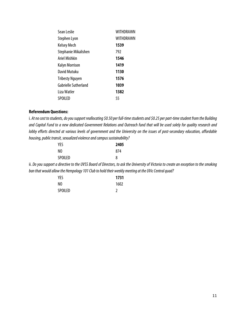| Sean Leslie          | <b>WITHDRAWN</b> |
|----------------------|------------------|
| Stephen Lyon         | <b>WITHDRAWN</b> |
| Kelsey Mech          | 1539             |
| Stephanie Mikalishen | 792              |
| Ariel Mishkin        | 1546             |
| Kalyn Morrison       | 1419             |
| David Mutuku         | 1130             |
| Tribesty Nguyen      | 1576             |
| Gabrielle Sutherland | 1039             |
| Liza Watler          | 1382             |
| SPOILED              | 55               |

#### **Referendum Questions:**

i. At no cost to students, do you support reallocating \$0.50 per full-time students and \$0.25 per part-time student from the Building and Capital Fund to a new dedicated Government Relations and Outreach fund that will be used solely for quality research and lobby efforts directed at various levels of government and the University on the issues of post-secondary education, affordable housing, public transit, sexualized violence and campus sustainability?

| YES     | 2405 |
|---------|------|
| NO      | 874  |
| SPOILED | 8    |

ii. Do you support a directive to the UVSS Board of Directors, to ask the University of Victoria to create an exception to the smoking ban that would allow the Hempology 101 Club to hold their weekly meeting at the UVic Central quad?

| YES     | 1731 |
|---------|------|
| NO      | 1602 |
| SPOILED |      |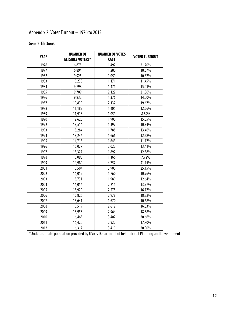## Appendix 2: Voter Turnout – 1976 to 2012

### General Elections:

| <b>YEAR</b> | <b>NUMBER OF</b>        | <b>NUMBER OF VOTES</b> | <b>VOTER TURNOUT</b> |
|-------------|-------------------------|------------------------|----------------------|
|             | <b>ELIGIBLE VOTERS*</b> | <b>CAST</b>            |                      |
| 1976        | 6,875                   | 1,492                  | 21.70%               |
| 1977        | 6,894                   | 1,280                  | 18.57%               |
| 1982        | 9,925                   | 1,059                  | 10.67%               |
| 1983        | 10,230                  | 1,171                  | 11.45%               |
| 1984        | 9,798                   | 1,471                  | 15.01%               |
| 1985        | 9,709                   | 2,122                  | 21.86%               |
| 1986        | 9,832                   | 1,376                  | 14.00%               |
| 1987        | 10,839                  | 2,132                  | 19.67%               |
| 1988        | 11,182                  | 1,405                  | 12.56%               |
| 1989        | 11,918                  | 1,059                  | 8.89%                |
| 1990        | 12,628                  | 1,900                  | 15.05%               |
| 1992        | 13,514                  | 1,397                  | 10.34%               |
| 1993        | 13,284                  | 1,788                  | 13.46%               |
| 1994        | 13,246                  | 1,666                  | 12.58%               |
| 1995        | 14,715                  | 1,643                  | 11.17%               |
| 1996        | 15,077                  | 2,022                  | 13.41%               |
| 1997        | 15,327                  | 1,897                  | 12.38%               |
| 1998        | 15,098                  | 1,166                  | 7.72%                |
| 1999        | 14,984                  | 4,757                  | 31.75%               |
| 2001        | 15,504                  | 3,900                  | 25.15%               |
| 2002        | 16,052                  | 1,760                  | 10.96%               |
| 2003        | 15,731                  | 1,989                  | 12.64%               |
| 2004        | 16,056                  | 2,211                  | 13.77%               |
| 2005        | 15,920                  | 2,575                  | 16.17%               |
| 2006        | 15,826                  | 2,978                  | 18.82%               |
| 2007        | 15,641                  | 1,670                  | 10.68%               |
| 2008        | 15,519                  | 2,612                  | 16.83%               |
| 2009        | 15,955                  | 2,964                  | 18.58%               |
| 2010        | 16,465                  | 3,402                  | 20.66%               |
| 2011        | 16,420                  | 2,922                  | 17.80%               |
| 2012        | 16,317                  | 3,410                  | 20.90%               |

\*Undergraduate population provided by UVic's Department of Institutional Planning and Development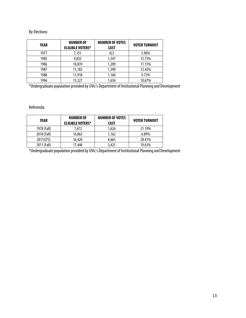### By-Elections:

| <b>YEAR</b> | <b>NUMBER OF</b><br><b>ELIGIBLE VOTERS*</b> | <b>NUMBER OF VOTES</b><br><b>CAST</b> | <b>VOTER TURNOUT</b> |
|-------------|---------------------------------------------|---------------------------------------|----------------------|
| 1977        | 7,151                                       | 422                                   | 5.90%                |
| 1985        | 9,832                                       | 1,547                                 | 15.73%               |
| 1986        | 10,839                                      | 1,209                                 | 11.15%               |
| 1987        | 11,182                                      | 1,390                                 | 12.43%               |
| 1988        | 11,918                                      | 1,160                                 | 9.73%                |
| 1996        | 15,327                                      | 1,636                                 | 10.67%               |

\*Undergraduate population provided by UVic's Department of Institutional Planning and Development

Referenda:

| <b>YEAR</b> | <b>NUMBER OF</b><br><b>ELIGIBLE VOTERS*</b> | <b>NUMBER OF VOTES</b><br><b>CAST</b> | <b>VOTER TURNOUT</b> |
|-------------|---------------------------------------------|---------------------------------------|----------------------|
| 1978 (Fall) | 7.672                                       | 1.626                                 | 21.19%               |
| 2010 (Fall) | 16,863                                      | 1.162                                 | 6.89%                |
| 2011(CFS)   | 16,420                                      | 4,665                                 | 28.41%               |
| 2011 (Fall) | 17.448                                      | 3,425                                 | 19.63%               |

\*Undergraduate population provided by UVic's Department of Institutional Planning and Development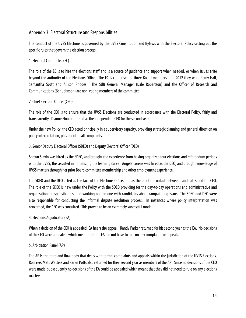### Appendix 3: Electoral Structure and Responsibilities

The conduct of the UVSS Elections is governed by the UVSS Constitution and Bylaws with the Electoral Policy setting out the specific rules that govern the election process.

1. Electoral Committee (EC)

The role of the EC is to hire the elections staff and is a source of guidance and support when needed, or when issues arise beyond the authority of the Elections Office. The EC is comprised of three Board members – in 2012 they were Remy Hall, Samantha Scott and Allison Rhodes. The SUB General Manager (Dale Robertson) and the Officer of Research and Communications (Ben Johnson) are non-voting members of the committee.

### 2. Chief Electoral Officer (CEO)

The role of the CEO is to ensure that the UVSS Elections are conducted in accordance with the Electoral Policy, fairly and transparently. Dianne Flood returned as the independent CEO for the second year.

Under the new Policy, the CEO acted principally in a supervisory capacity, providing strategic planning and general direction on policy interpretation, plus deciding all complaints.

### 3. Senior Deputy Electoral Officer (SDEO) and Deputy Electoral Officer (DEO)

Shawn Slavin was hired as the SDEO, and brought the experience from having organized four elections and referendum periods with the UVSS; this assisted in minimizing the learning curve. Angela Lorenz was hired as the DEO, and brought knowledge of UVSS matters through her prior Board committee membership and other employment experience.

The SDEO and the DEO acted as the face of the Elections Office, and as the point of contact between candidates and the CEO. The role of the SDEO is new under the Policy with the SDEO providing for the day-to-day operations and administrative and organizational responsibilities, and working one on one with candidates about campaigning issues. The SDEO and DEO were also responsible for conducting the informal dispute resolution process. In instances where policy interpretation was concerned, the CEO was consulted. This proved to be an extremely successful model.

### 4. Elections Adjudicator (EA)

When a decision of the CEO is appealed, EA hears the appeal. Randy Parker returned for his second year as the EA. No decisions of the CEO were appealed, which meant that the EA did not have to rule on any complaints or appeals.

### 5. Arbitration Panel (AP)

The AP is the third and final body that deals with formal complaints and appeals within the jurisdiction of the UVSS Elections. Ron Yee, Matt Watters and Karen Potts also returned for their second year as members of the AP. Since no decisions of the CEO were made, subsequently no decisions of the EA could be appealed which meant that they did not need to rule on any elections matters.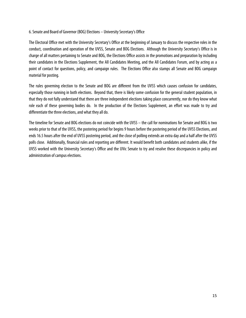### 6. Senate and Board of Governor (BOG) Elections – University Secretary's Office

The Electoral Office met with the University Secretary's Office at the beginning of January to discuss the respective roles in the conduct, coordination and operation of the UVSS, Senate and BOG Elections. Although the University Secretary's Office is in charge of all matters pertaining to Senate and BOG, the Elections Office assists in the promotions and preparation by including their candidates in the Elections Supplement, the All Candidates Meeting, and the All Candidates Forum, and by acting as a point of contact for questions, policy, and campaign rules. The Elections Office also stamps all Senate and BOG campaign material for posting.

The rules governing election to the Senate and BOG are different from the UVSS which causes confusion for candidates, especially those running in both elections. Beyond that, there is likely some confusion for the general student population, in that they do not fully understand that there are three independent elections taking place concurrently, nor do they know what role each of these governing bodies do. In the production of the Elections Supplement, an effort was made to try and differentiate the three elections, and what they all do.

The timeline for Senate and BOG elections do not coincide with the UVSS – the call for nominations for Senate and BOG is two weeks prior to that of the UVSS, the postering period for begins 9 hours before the postering period of the UVSS Elections, and ends 16.5 hours after the end of UVSS postering period, and the close of polling extends an extra day and a half after the UVSS polls close. Additionally, financial rules and reporting are different. It would benefit both candidates and students alike, if the UVSS worked with the University Secretary's Office and the UVic Senate to try and resolve these discrepancies in policy and administration of campus elections.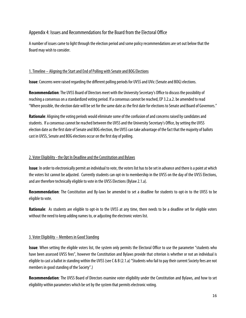### Appendix 4: Issues and Recommendations for the Board from the Electoral Office

A number of issues came to light through the election period and some policy recommendations are set out below that the Board may wish to consider.

### 1. Timeline – Aligning the Start and End of Polling with Senate and BOG Elections

**Issue**: Concerns were raised regarding the different polling periods for UVSS and UVic (Senate and BOG) elections.

**Recommendation**: The UVSS Board of Directors meet with the University Secretary's Office to discuss the possibility of reaching a consensus on a standardized voting period. If a consensus cannot be reached, EP 3.2.a.2. be amended to read "Where possible, the election date will be set for the same date as the first date for elections to Senate and Board of Governors."

**Rationale**: Aligning the voting periods would eliminate some of the confusion of and concerns raised by candidates and students. If a consensus cannot be reached between the UVSS and the University Secretary's Office, by setting the UVSS election date as the first date of Senate and BOG election, the UVSS can take advantage of the fact that the majority of ballots cast in UVSS, Senate and BOG elections occur on the first day of polling.

### 2. Voter Eligibility - the Opt In Deadline and the Constitution and Bylaws

**Issue**: In order to electronically permit an individual to vote, the voters list has to be set in advance and there is a point at which the voters list cannot be adjusted. Currently students can opt-in to membership in the UVSS on the day of the UVSS Elections, and are therefore technically eligible to vote in the UVSS Elections (Bylaw 2.1.a).

**Recommendation**: The Constitution and By-laws be amended to set a deadline for students to opt-in to the UVSS to be eligible to vote.

**Rationale**: As students are eligible to opt-in to the UVSS at any time, there needs to be a deadline set for eligible voters without the need to keep adding names to, or adjusting the electronic voters list.

### 3. Voter Eligibility – Members in Good Standing

**Issue**: When setting the eligible voters list, the system only permits the Electoral Office to use the parameter "students who have been assessed UVSS fees", however the Constitution and Bylaws provide that criterion is whether or not an individual is eligible to cast a ballot in standing within the UVSS (see C & B (2.1.a) "Students who fail to pay their current Society fees are not members in good standing of the Society".)

**Recommendation**: The UVSS Board of Directors examine voter eligibility under the Constitution and Bylaws, and how to set eligibility within parameters which be set by the system that permits electronic voting.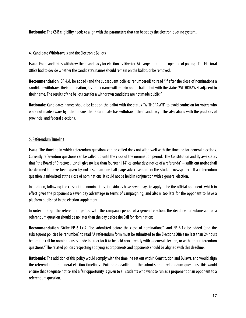**Rationale**: The C&B eligibility needs to align with the parameters that can be set by the electronic voting system..

### 4. Candidate Withdrawals and the Electronic Ballots

**Issue**: Four candidates withdrew their candidacy for election as Director-At-Large prior to the opening of polling. The Electoral Office had to decide whether the candidate's names should remain on the ballot, or be removed.

**Recommendation**: EP 4.d. be added (and the subsequent policies renumbered) to read "If after the close of nominations a candidate withdraws their nomination, his or her name will remain on the ballot, but with the status 'WITHDRAWN' adjacent to their name. The results of the ballots cast for a withdrawn candidate are not made public."

**Rationale**: Candidates names should be kept on the ballot with the status "WITHDRAWN" to avoid confusion for voters who were not made aware by other means that a candidate has withdrawn their candidacy. This also aligns with the practices of provincial and federal elections.

### 5. Referendum Timeline

**Issue**: The timeline in which referendum questions can be called does not align well with the timeline for general elections. Currently referendum questions can be called up until the close of the nomination period. The Constitution and Bylaws states that "the Board of Directors…shall give no less than fourteen [14] calendar days notice of a referenda" – sufficient notice shall be deemed to have been given by not less than one half page advertisement in the student newspaper. If a referendum question is submitted at the close of nominations, it could not be held in conjunction with a general election.

In addition, following the close of the nominations, individuals have seven days to apply to be the official opponent. which in effect gives the proponent a seven day advantage in terms of campaigning, and also is too late for the opponent to have a platform published in the election supplement.

In order to align the referendum period with the campaign period of a general election, the deadline for submission of a referendum question should be no later than the day before the Call for Nominations.

**Recommendation**: Strike EP 6.1.c.4. "be submitted before the close of nominations", and EP 6.1.c be added (and the subsequent policies be renumber) to read "A referendum form must be submitted to the Elections Office no less than 24 hours before the call for nominations is made in order for it to be held concurrently with a general election, or with other referendum questions." The related policies respecting applying as proponents and opponents should be aligned with this deadline.

**Rationale**: The addition of this policy would comply with the timeline set out within Constitution and Bylaws, and would align the referendum and general election timelines. Putting a deadline on the submission of referendum questions, this would ensure that adequate notice and a fair opportunity is given to all students who want to run as a proponent or an opponent to a referendum question.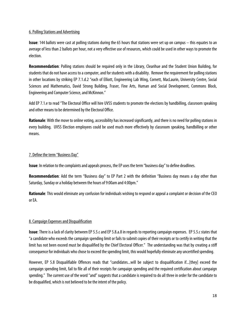### 6. Polling Stations and Advertising

**Issue**: 144 ballots were cast at polling stations during the 65 hours that stations were set up on campus – this equates to an average of less than 2 ballots per hour, not a very effective use of resources, which could be used in other ways to promote the election.

**Recommendation**: Polling stations should be required only in the Library, Clearihue and the Student Union Building, for students that do not have access to a computer, and for students with a disability. Remove the requirement for polling stations in other locations by striking EP 7.1.d.2 "each of Elliott, Engineering Lab Wing, Cornett, MacLaurin, University Centre, Social Sciences and Mathematics, David Strong Building, Fraser, Fine Arts, Human and Social Development, Commons Block, Engineering and Computer Science, and McKinnon."

Add EP 7.1.e to read "The Electoral Office will hire UVSS students to promote the elections by handbilling, classroom speaking and other means to be determined by the Electoral Office.

**Rationale**: With the move to online voting, accessibility has increased significantly, and there is no need for polling stations in every building. UVSS Election employees could be used much more effectively by classroom speaking, handbilling or other means.

### 7. Define the term "Business Day"

**Issue**: In relation to the complaints and appeals process, the EP uses the term "business day" to define deadlines.

**Recommendation**: Add the term "Business day" to EP Part 2 with the definition "Business day means a day other than Saturday, Sunday or a holiday between the hours of 9:00am and 4:00pm."

**Rationale**: This would eliminate any confusion for individuals wishing to respond or appeal a complaint or decision of the CEO or EA.

### 8. Campaign Expenses and Disqualification

**Issue**: There is a lack of clarity between EP 5.5.c and EP 5.8.a.8 in regards to reporting campaign expenses. EP 5.5.c states that "a candidate who exceeds the campaign spending limit or fails to submit copies of their receipts or to certify in writing that the limit has not been exceed must be disqualified by the Chief Electoral Officer." The understanding was that by creating a stiff consequence for individuals who chose to exceed the spending limit, this would hopefully eliminate any uncertified spending.

However, EP 5.8 Disqualifiable Offences reads that "candidates...will be subject to disqualification if...[they] exceed the campaign spending limit, fail to file all of their receipts for campaign spending and the required certification about campaign spending." The current use of the word "and" suggests that a candidate is required to do all three in order for the candidate to be disqualified, which is not believed to be the intent of the policy.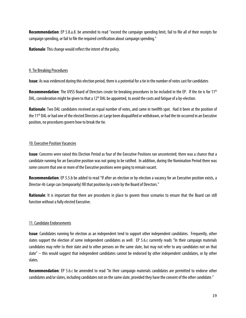**Recommendation**: EP 5.8.a.8. be amended to read "exceed the campaign spending limit, fail to file all of their receipts for campaign spending, or fail to file the required certification about campaign spending."

**Rationale**: This change would reflect the intent of the policy.

### 9. Tie Breaking Procedures

**Issue**: As was evidenced during this election period, there is a potential for a tie in the number of votes cast for candidates

Recommendation: The UVSS Board of Directors create tie breaking procedures to be included in the EP. If the tie is for 11<sup>th</sup> DAL, consideration might be given to that a  $12<sup>th</sup>$  DAL be appointed, to avoid the costs and fatigue of a by-election.

**Rationale**: Two DAL candidates received an equal number of votes, and came in twelfth spot. Had it been at the position of the 11<sup>th</sup> DAL or had one of the elected Directors-at-Large been disqualified or withdrawn, or had the tie occurred in an Executive position, no procedures govern how to break the tie.

### 10. Executive Position Vacancies

**Issue**: Concerns were raised this Election Period as four of the Executive Positions ran uncontested; there was a chance that a candidate running for an Executive position was not going to be ratified. In addition, during the Nomination Period there was some concern that one or more of the Executive positions were going to remain vacant.

**Recommendation**: EP 5.5.b be added to read "If after an election or by-election a vacancy for an Executive position exists, a Director-At-Large can (temporarily) fill that position by a vote by the Board of Directors."

**Rationale**: It is important that there are procedures in place to govern those scenarios to ensure that the Board can still function without a fully elected Executive.

### 11. Candidate Endorsements

**Issue**: Candidates running for election as an independent tend to support other independent candidates. Frequently, other slates support the election of some independent candidates as well. EP 5.6.c currently reads "In their campaign materials candidates may refer to their slate and to other persons on the same slate, but may not refer to any candidates not on that slate" – this would suggest that independent candidates cannot be endorsed by other independent candidates, or by other slates.

**Recommendation**: EP 5.6.c be amended to read "In their campaign materials candidates are permitted to endorse other candidates and/or slates, including candidates not on the same slate, provided they have the consent of the other candidate."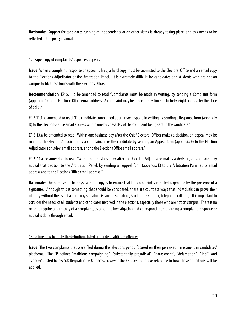**Rationale**: Support for candidates running as independents or on other slates is already taking place, and this needs to be reflected in the policy manual.

### 12. Paper copy of complaints/responses/appeals

**Issue**: When a complaint, response or appeal is filed, a hard copy must be submitted to the Electoral Office and an email copy to the Elections Adjudicator or the Arbitration Panel. It is extremely difficult for candidates and students who are not on campus to file these forms with the Elections Office.

**Recommendation**: EP 5.11.d be amended to read "Complaints must be made in writing, by sending a Complaint form (appendix C) to the Elections Office email address. A complaint may be made at any time up to forty-eight hours after the close of polls."

EP 5.11.f be amended to read "The candidate complained about may respond in writing by sending a Response form (appendix D) to the Elections Office email address within one business day of the complaint being sent to the candidate."

EP 5.13.a be amended to read "Within one business day after the Chief Electoral Officer makes a decision, an appeal may be made to the Election Adjudicator by a complainant or the candidate by sending an Appeal form (appendix E) to the Election Adjudicator at his/her email address, and to the Elections Office email address."

EP 5.14.a be amended to read "Within one business day after the Election Adjudicator makes a decision, a candidate may appeal that decision to the Arbitration Panel, by sending an Appeal form (appendix E) to the Arbitration Panel at its email address and to the Elections Office email address."

**Rationale**: The purpose of the physical hard copy is to ensure that the complaint submitted is genuine by the presence of a signature. Although this is something that should be considered, there are countless ways that individuals can prove their identity without the use of a hardcopy signature (scanned signature, Student ID Number, telephone call etc.). It is important to consider the needs of all students and candidates involved in the elections, especially those who are not on campus. There is no need to require a hard copy of a complaint, as all of the investigation and correspondence regarding a complaint, response or appeal is done through email.

### 13. Define how to apply the definitions listed under disqualifiable offences

**Issue**: The two complaints that were filed during this elections period focused on their perceived harassment in candidates' platforms. The EP defines "malicious campaigning", "substantially prejudicial", "harassment", "defamation", "libel", and "slander", listed below 5.8 Disqualifiable Offences; however the EP does not make reference to how these definitions will be applied.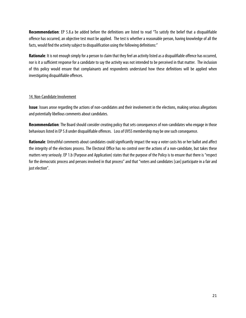**Recommendation**: EP 5.8.a be added before the definitions are listed to read "To satisfy the belief that a disqualifiable offence has occurred, an objective test must be applied. The test is whether a reasonable person, having knowledge of all the facts, would find the activity subject to disqualification using the following definitions:"

**Rationale**: It is not enough simply for a person to claim that they feel an activity listed as a disqualifiable offence has occurred, nor is it a sufficient response for a candidate to say the activity was not intended to be perceived in that matter. The inclusion of this policy would ensure that complainants and respondents understand how these definitions will be applied when investigating disqualifiable offences.

### 14. Non-Candidate Involvement

**Issue**: Issues arose regarding the actions of non-candidates and their involvement in the elections, making serious allegations and potentially libellous comments about candidates.

**Recommendation**: The Board should consider creating policy that sets consequences of non-candidates who engage in those behaviours listed in EP 5.8 under disqualifiable offences. Loss of UVSS membership may be one such consequence.

**Rationale**: Untruthful comments about candidates could significantly impact the way a voter casts his or her ballot and affect the integrity of the elections process. The Electoral Office has no control over the actions of a non-candidate, but takes these matters very seriously. EP 1.b (Purpose and Application) states that the purpose of the Policy is to ensure that there is "respect for the democratic process and persons involved in that process" and that "voters and candidates [can] participate in a fair and just election".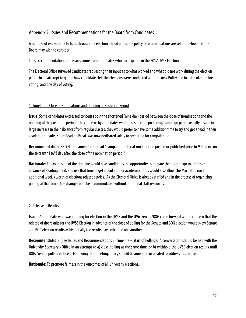### Appendix 5: Issues and Recommendations for the Board from Candidates

A number of issues came to light through the election period and some policy recommendations are set out below that the Board may wish to consider.

These recommendations and issues come from candidates who participated in the 2012 UVSS Elections.

The Electoral Office surveyed candidates requesting their input as to what worked and what did not work during the election period in an attempt to gauge how candidates felt the elections were conducted with the new Policy and in particular, online voting, and one day of voting.

### 1. Timeline – Close of Nominations and Opening of Postering Period

**Issue**: Some candidates expressed concern about the shortened (nine day) period between the close of nominations and the opening of the postering period. The concerns by candidates were that since the postering/campaign period usually results in a large increase in their absences from regular classes, they would prefer to have some addition time to try and get ahead in their academic pursuits, since Reading Break was now dedicated solely to preparing for campaigning.

**Recommendation**: EP 5.4.a be amended to read "Campaign material must not be posted or published prior to 9:00 a.m. on the sixteenth  $[16<sup>th</sup>]$  day after the close of the nomination period."

**Rationale**: The extension of the timeline would give candidates the opportunity to prepare their campaign materials in advance of Reading Break and use that time to get ahead in their academics. This would also allow The Martlet to run an additional week's worth of elections related stories. As the Electoral Office is already staffed and in the process of organizing polling at that time,, the change could be accommodated without additional staff resources.

### 2. Release of Results

**Issue**: A candidate who was running for election in the UVSS and the UVic Senate/BOG came forward with a concern that the release of the results for the UVSS Election in advance of the close of polling for the Senate and BOG election would skew Senate and BOG election results as historically the results have mirrored one another.

**Recommendation**: (See Issues and Recommendations 2: Timeline – Start of Polling). A conversation should be had with the University Secretary's Office in an attempt to a) close polling at the same time, or b) withhold the UVSS election results until BOG/ Senate polls are closed. Following that meeting, policy should be amended or created to address this matter.

**Rationale**: To promote fairness in the outcomes of all University elections.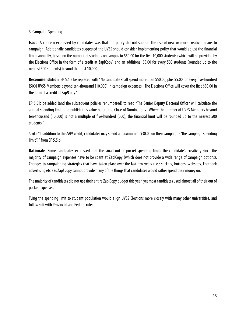### 3. Campaign Spending

**Issue**: A concern expressed by candidates was that the policy did not support the use of new or more creative means to campaign. Additionally candidates suggested the UVSS should consider implementing policy that would adjust the financial limits annually, based on the number of students on campus to \$50.00 for the first 10,000 students (which will be provided by the Elections Office in the form of a credit at Zap!Copy) and an additional \$5.00 for every 500 students (rounded up to the nearest 500 students) beyond that first 10,000.

**Recommendation**: EP 5.5.a be replaced with "No candidate shall spend more than \$50.00, plus \$5.00 for every five-hundred [500] UVSS Members beyond ten-thousand [10,000] in campaign expenses. The Elections Office will cover the first \$50.00 in the form of a credit at Zap!Copy."

EP 5.5.b be added (and the subsequent policies renumbered) to read "The Senior Deputy Electoral Officer will calculate the annual spending limit, and publish this value before the Close of Nominations. Where the number of UVSS Members beyond ten-thousand (10,000) is not a multiple of five-hundred (500), the financial limit will be rounded up to the nearest 500 students."

Strike "In addition to the ZAP! credit, candidates may spend a maximum of \$30.00 on their campaign ("the campaign spending limit")" from EP 5.5.b.

**Rationale**: Some candidates expressed that the small out of pocket spending limits the candidate's creativity since the majority of campaign expenses have to be spent at Zap!Copy (which does not provide a wide range of campaign options). Changes to campaigning strategies that have taken place over the last few years (i.e.: stickers, buttons, websites, Facebook advertising etc.) as Zap! Copy cannot provide many of the things that candidates would rather spend their money on.

The majority of candidates did not use their entire Zap!Copy budget this year, yet most candidates used almost all of their out of pocket expenses.

Tying the spending limit to student population would align UVSS Elections more closely with many other universities, and follow suit with Provincial and Federal rules.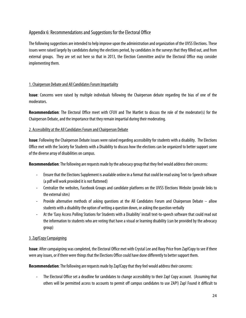### Appendix 6: Recommendations and Suggestions for the Electoral Office

The following suggestions are intended to help improve upon the administration and organization of the UVSS Elections. These issues were raised largely by candidates during the elections period, by candidates in the surveys that they filled out, and from external groups. They are set out here so that in 2013, the Election Committee and/or the Electoral Office may consider implementing them.

### 1. Chairperson Debate and All Candidates Forum Impartiality

**Issue**: Concerns were raised by multiple individuals following the Chairperson debate regarding the bias of one of the moderators.

**Recommendation**: The Electoral Office meet with CFUV and The Martlet to discuss the role of the moderator(s) for the Chairperson Debate, and the importance that they remain impartial during their moderating.

### 2. Accessibility at the All Candidates Forum and Chairperson Debate

**Issue**: Following the Chairperson Debate issues were raised regarding accessibility for students with a disability. The Elections Office met with the Society for Students with a Disability to discuss how the elections can be organized to better support some of the diverse array of disabilities on campus.

**Recommendation**: The following are requests made by the advocacy group that they feel would address their concerns:

- ‐ Ensure that the Elections Supplement is available online in a format that could be read using Text-to-Speech software (a pdf will work provided it is not flattened)
- ‐ Centralize the websites, Facebook Groups and candidate platforms on the UVSS Elections Website (provide links to the external sites)
- ‐ Provide alternative methods of asking questions at the All Candidates Forum and Chairperson Debate allow students with a disability the option of writing a question down, or asking the question verbally
- ‐ At the 'Easy Access Polling Stations for Students with a Disability' install text-to-speech software that could read out the information to students who are voting that have a visual or learning disability (can be provided by the advocacy group)

### 3. Zap!Copy Campaigning

**Issue**: After campaigning was completed, the Electoral Office met with Crystal Lee and Roxy Price from Zap!Copy to see if there were any issues, or if there were things that the Elections Office could have done differently to better support them.

**Recommendation**: The following are requests made by Zap!Copy that they feel would address their concerns:

‐ The Electoral Office set a deadline for candidates to change accessibility to their Zap! Copy account. (Assuming that others will be permitted access to accounts to permit off campus candidates to use ZAP!) Zap! Found it difficult to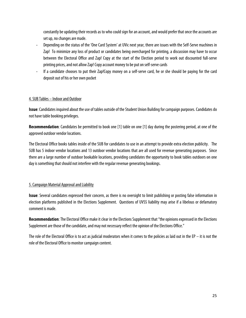constantly be updating their records as to who could sign for an account, and would prefer that once the accounts are set up, no changes are made.

- ‐ Depending on the status of the 'One Card System' at UVic next year, there are issues with the Self-Serve machines in Zap! To minimize any loss of product or candidates being overcharged for printing, a discussion may have to occur between the Electoral Office and Zap! Copy at the start of the Election period to work out discounted full-serve printing prices, and not allow Zap! Copy account money to be put on self-serve cards
- ‐ If a candidate chooses to put their Zap!Copy money on a self-serve card, he or she should be paying for the card deposit out of his or her own pocket

### 4. SUB Tables – Indoor and Outdoor

**Issue**: Candidates inquired about the use of tables outside of the Student Union Building for campaign purposes. Candidates do not have table booking privileges.

**Recommendation**: Candidates be permitted to book one [1] table on one [1] day during the postering period, at one of the approved outdoor vendor locations.

The Electoral Office books tables inside of the SUB for candidates to use in an attempt to provide extra election publicity. The SUB has 5 indoor vendor locations and 13 outdoor vendor locations that are all used for revenue generating purposes. Since there are a large number of outdoor bookable locations, providing candidates the opportunity to book tables outdoors on one day is something that should not interfere with the regular revenue generating bookings.

### 5. Campaign Material Approval and Liability

**Issue**: Several candidates expressed their concern, as there is no oversight to limit publishing or posting false information in election platforms published in the Elections Supplement. Questions of UVSS liability may arise if a libelous or defamatory comment is made.

**Recommendation**: The Electoral Office make it clear in the Elections Supplement that "the opinions expressed in the Elections Supplement are those of the candidate, and may not necessary reflect the opinion of the Elections Office."

The role of the Electoral Office is to act as judicial moderators when it comes to the policies as laid out in the EP – it is not the role of the Electoral Office to monitor campaign content.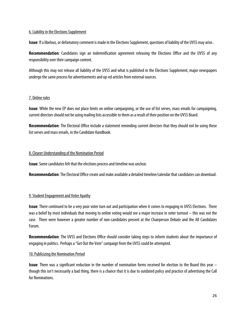### 6. Liability in the Elections Supplement

**Issue**: If a libelous, or defamatory comment is made in the Elections Supplement, questions of liability of the UVSS may arise..

**Recommendation**: Candidates sign an indemnification agreement releasing the Elections Office and the UVSS of any responsibility over their campaign content.

Although this may not release all liability of the UVSS and what is published in the Elections Supplement, major newspapers undergo the same process for advertisements and op-ed articles from external sources.

#### 7. Online rules

**Issue**: While the new EP does not place limits on online campaigning, or the use of list serves, mass emails for campaigning, current directors should not be using mailing lists accessible to them as a result of their position on the UVSS Board.

**Recommendation**: The Electoral Office include a statement reminding current directors that they should not be using these list serves and mass emails, in the Candidate Handbook.

### 8. Clearer Understanding of the Nomination Period

**Issue**: Some candidates felt that the elections process and timeline was unclear.

**Recommendation**: The Electoral Office create and make available a detailed timeline/calendar that candidates can download.

### 9. Student Engagement and Voter Apathy

**Issue**: There continued to be a very poor voter turn out and participation when it comes to engaging in UVSS Elections. There was a belief by most individuals that moving to online voting would see a major increase in voter turnout – this was not the case. There were however a greater number of non-candidates present at the Chairperson Debate and the All Candidates Forum.

**Recommendation**: The UVSS and Elections Office should consider taking steps to inform students about the importance of engaging in politics. Perhaps a "Get Out the Vote" campaign from the UVSS could be attempted.

#### 10. Publicizing the Nomination Period

**Issue**: There was a significant reduction in the number of nomination forms received for election to the Board this year – though this isn't necessarily a bad thing, there is a chance that it is due to outdated policy and practice of advertising the Call for Nominations.